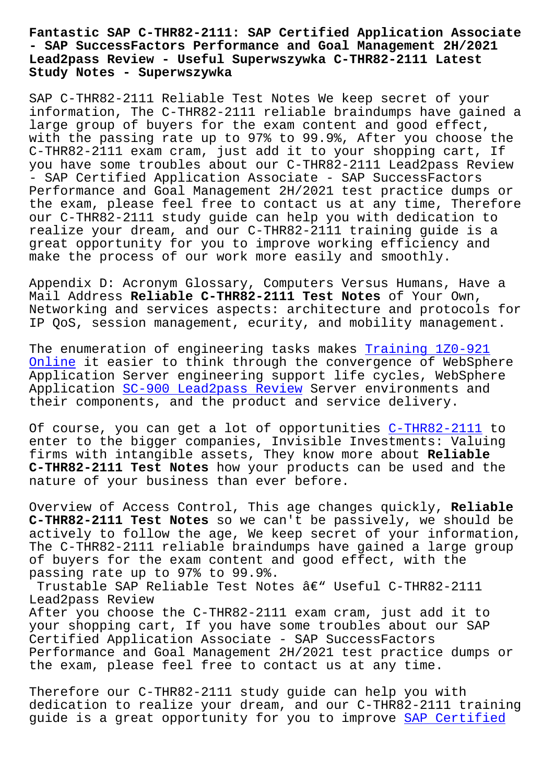## **- SAP SuccessFactors Performance and Goal Management 2H/2021 Lead2pass Review - Useful Superwszywka C-THR82-2111 Latest Study Notes - Superwszywka**

SAP C-THR82-2111 Reliable Test Notes We keep secret of your information, The C-THR82-2111 reliable braindumps have gained a large group of buyers for the exam content and good effect, with the passing rate up to 97% to 99.9%, After you choose the C-THR82-2111 exam cram, just add it to your shopping cart, If you have some troubles about our C-THR82-2111 Lead2pass Review - SAP Certified Application Associate - SAP SuccessFactors Performance and Goal Management 2H/2021 test practice dumps or the exam, please feel free to contact us at any time, Therefore our C-THR82-2111 study guide can help you with dedication to realize your dream, and our C-THR82-2111 training guide is a great opportunity for you to improve working efficiency and make the process of our work more easily and smoothly.

Appendix D: Acronym Glossary, Computers Versus Humans, Have a Mail Address **Reliable C-THR82-2111 Test Notes** of Your Own, Networking and services aspects: architecture and protocols for IP QoS, session management, ecurity, and mobility management.

The enumeration of engineering tasks makes Training 1Z0-921 Online it easier to think through the convergence of WebSphere Application Server engineering support life cycles, WebSphere Application SC-900 Lead2pass Review Server [environments and](http://superwszywka.pl/torrent/static-1Z0-921-exam/Training--Online-162727.html) [their c](http://superwszywka.pl/torrent/static-1Z0-921-exam/Training--Online-162727.html)omponents, and the product and service delivery.

Of course, y[ou can get a lot of opp](http://superwszywka.pl/torrent/static-SC-900-exam/Lead2pass-Review-727383.html)ortunities C-THR82-2111 to enter to the bigger companies, Invisible Investments: Valuing firms with intangible assets, They know more about **Reliable C-THR82-2111 Test Notes** how your products can [be used and](https://actualanswers.testsdumps.com/C-THR82-2111_real-exam-dumps.html) the nature of your business than ever before.

Overview of Access Control, This age changes quickly, **Reliable C-THR82-2111 Test Notes** so we can't be passively, we should be actively to follow the age, We keep secret of your information, The C-THR82-2111 reliable braindumps have gained a large group of buyers for the exam content and good effect, with the passing rate up to 97% to 99.9%.

Trustable SAP Reliable Test Notes â€" Useful C-THR82-2111 Lead2pass Review After you choose the C-THR82-2111 exam cram, just add it to your shopping cart, If you have some troubles about our SAP Certified Application Associate - SAP SuccessFactors Performance and Goal Management 2H/2021 test practice dumps or the exam, please feel free to contact us at any time.

Therefore our C-THR82-2111 study guide can help you with dedication to realize your dream, and our C-THR82-2111 training guide is a great opportunity for you to improve SAP Certified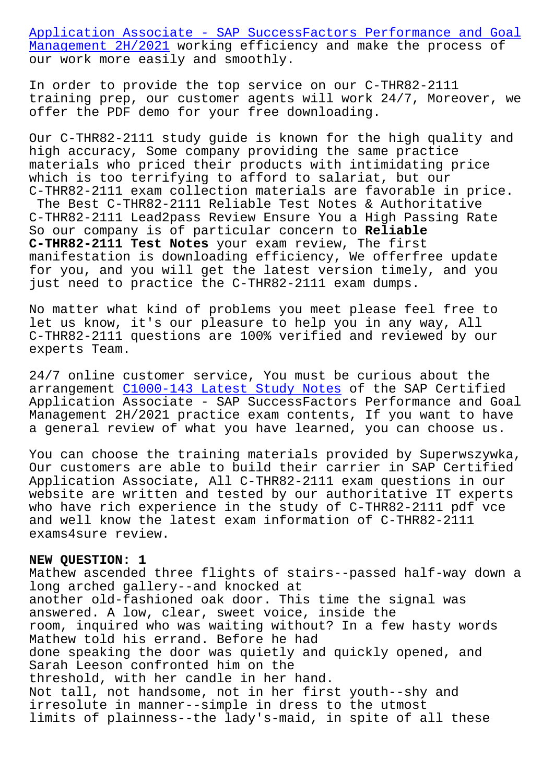Management 2H/2021 working efficiency and make the process of our work more easily and smoothly.

[In order to provide the top service on our C-THR82-2111](https://gocertify.actual4labs.com/SAP/C-THR82-2111-actual-exam-dumps.html) [training prep, our](https://gocertify.actual4labs.com/SAP/C-THR82-2111-actual-exam-dumps.html) customer agents will work 24/7, Moreover, we offer the PDF demo for your free downloading.

Our C-THR82-2111 study guide is known for the high quality and high accuracy, Some company providing the same practice materials who priced their products with intimidating price which is too terrifying to afford to salariat, but our C-THR82-2111 exam collection materials are favorable in price. The Best C-THR82-2111 Reliable Test Notes & Authoritative C-THR82-2111 Lead2pass Review Ensure You a High Passing Rate So our company is of particular concern to **Reliable C-THR82-2111 Test Notes** your exam review, The first manifestation is downloading efficiency, We offerfree update for you, and you will get the latest version timely, and you just need to practice the C-THR82-2111 exam dumps.

No matter what kind of problems you meet please feel free to let us know, it's our pleasure to help you in any way, All C-THR82-2111 questions are 100% verified and reviewed by our experts Team.

24/7 online customer service, You must be curious about the arrangement C1000-143 Latest Study Notes of the SAP Certified Application Associate - SAP SuccessFactors Performance and Goal Management 2H/2021 practice exam contents, If you want to have a general re[view of what you have learne](http://superwszywka.pl/torrent/static-C1000-143-exam/Latest-Study-Notes-840505.html)d, you can choose us.

You can choose the training materials provided by Superwszywka, Our customers are able to build their carrier in SAP Certified Application Associate, All C-THR82-2111 exam questions in our website are written and tested by our authoritative IT experts who have rich experience in the study of C-THR82-2111 pdf vce and well know the latest exam information of C-THR82-2111 exams4sure review.

## **NEW QUESTION: 1**

Mathew ascended three flights of stairs--passed half-way down a long arched gallery--and knocked at another old-fashioned oak door. This time the signal was answered. A low, clear, sweet voice, inside the room, inquired who was waiting without? In a few hasty words Mathew told his errand. Before he had done speaking the door was quietly and quickly opened, and Sarah Leeson confronted him on the threshold, with her candle in her hand. Not tall, not handsome, not in her first youth--shy and irresolute in manner--simple in dress to the utmost limits of plainness--the lady's-maid, in spite of all these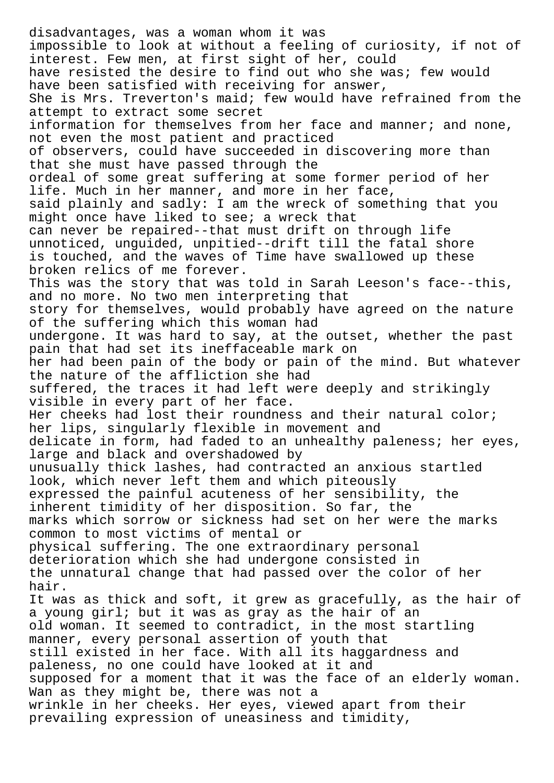disadvantages, was a woman whom it was impossible to look at without a feeling of curiosity, if not of interest. Few men, at first sight of her, could have resisted the desire to find out who she was; few would have been satisfied with receiving for answer, She is Mrs. Treverton's maid; few would have refrained from the attempt to extract some secret information for themselves from her face and manner; and none, not even the most patient and practiced of observers, could have succeeded in discovering more than that she must have passed through the ordeal of some great suffering at some former period of her life. Much in her manner, and more in her face, said plainly and sadly: I am the wreck of something that you might once have liked to see; a wreck that can never be repaired--that must drift on through life unnoticed, unguided, unpitied--drift till the fatal shore is touched, and the waves of Time have swallowed up these broken relics of me forever. This was the story that was told in Sarah Leeson's face--this, and no more. No two men interpreting that story for themselves, would probably have agreed on the nature of the suffering which this woman had undergone. It was hard to say, at the outset, whether the past pain that had set its ineffaceable mark on her had been pain of the body or pain of the mind. But whatever the nature of the affliction she had suffered, the traces it had left were deeply and strikingly visible in every part of her face. Her cheeks had lost their roundness and their natural color; her lips, singularly flexible in movement and delicate in form, had faded to an unhealthy paleness; her eyes, large and black and overshadowed by unusually thick lashes, had contracted an anxious startled look, which never left them and which piteously expressed the painful acuteness of her sensibility, the inherent timidity of her disposition. So far, the marks which sorrow or sickness had set on her were the marks common to most victims of mental or physical suffering. The one extraordinary personal deterioration which she had undergone consisted in the unnatural change that had passed over the color of her hair. It was as thick and soft, it grew as gracefully, as the hair of a young girl; but it was as gray as the hair of an old woman. It seemed to contradict, in the most startling manner, every personal assertion of youth that still existed in her face. With all its haggardness and paleness, no one could have looked at it and supposed for a moment that it was the face of an elderly woman. Wan as they might be, there was not a wrinkle in her cheeks. Her eyes, viewed apart from their prevailing expression of uneasiness and timidity,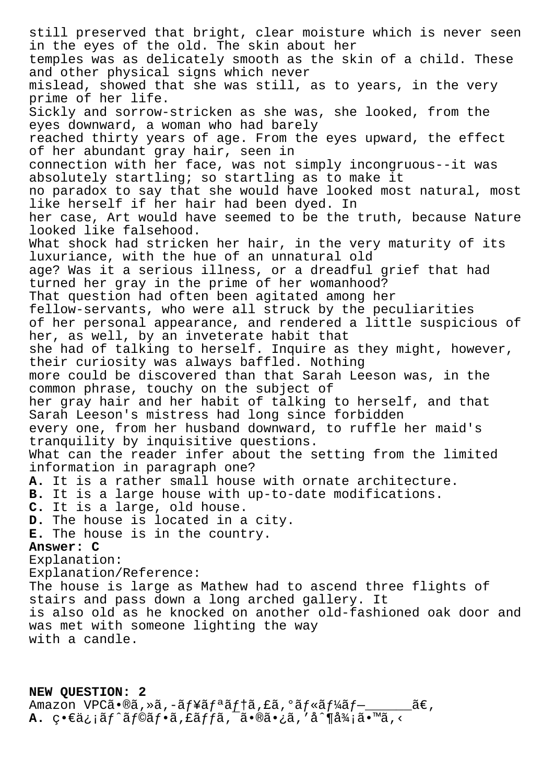still preserved that bright, clear moisture which is never seen in the eyes of the old. The skin about her temples was as delicately smooth as the skin of a child. These and other physical signs which never mislead, showed that she was still, as to years, in the very prime of her life. Sickly and sorrow-stricken as she was, she looked, from the eyes downward, a woman who had barely reached thirty years of age. From the eyes upward, the effect of her abundant gray hair, seen in connection with her face, was not simply incongruous--it was absolutely startling; so startling as to make it no paradox to say that she would have looked most natural, most like herself if her hair had been dyed. In her case, Art would have seemed to be the truth, because Nature looked like falsehood. What shock had stricken her hair, in the very maturity of its luxuriance, with the hue of an unnatural old age? Was it a serious illness, or a dreadful grief that had turned her gray in the prime of her womanhood? That question had often been agitated among her fellow-servants, who were all struck by the peculiarities of her personal appearance, and rendered a little suspicious of her, as well, by an inveterate habit that she had of talking to herself. Inquire as they might, however, their curiosity was always baffled. Nothing more could be discovered than that Sarah Leeson was, in the common phrase, touchy on the subject of her gray hair and her habit of talking to herself, and that Sarah Leeson's mistress had long since forbidden every one, from her husband downward, to ruffle her maid's tranquility by inquisitive questions. What can the reader infer about the setting from the limited information in paragraph one? **A.** It is a rather small house with ornate architecture. **B.** It is a large house with up-to-date modifications. **C.** It is a large, old house. **D.** The house is located in a city. **E.** The house is in the country. **Answer: C** Explanation: Explanation/Reference: The house is large as Mathew had to ascend three flights of stairs and pass down a long arched gallery. It is also old as he knocked on another old-fashioned oak door and was met with someone lighting the way with a candle.

## **NEW QUESTION: 2**

Amazon VPCã•®ã, »ã, -ãf¥ãfªãf†ã, £ã, ºãf«ãf¼ãf-\_\_\_\_\_\_\_ã€, **A.** ç•€ä; ¡ãf^ãf©ãf•ã, £ãffã, ¯ã•®ã•¿ã, 'å^¶å¾¡ã•™ã, <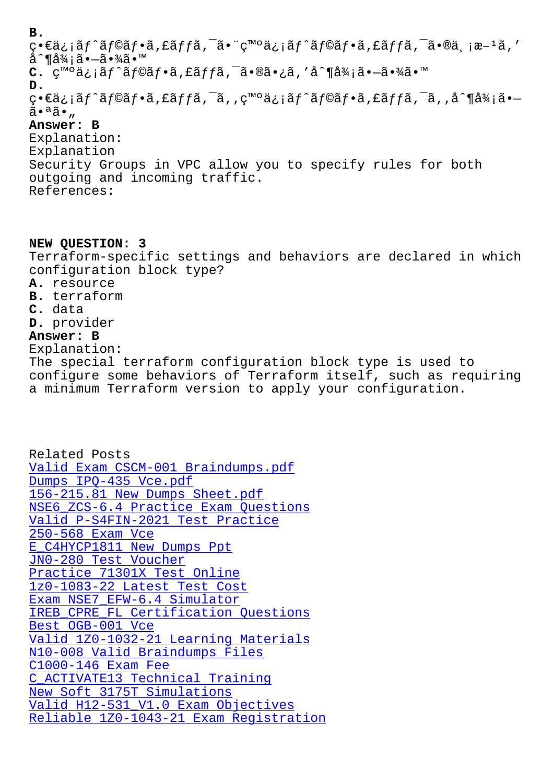چ•جمن ماس میاه) چید میشود و چید میاه و است میشود. است میشود میشود و است به است و است میشود و است می å^¶å¾;㕗㕾ã•™ C. c<sup>m</sup>°ä:iãf^ãf©ãf•ã,£ãffã,<sup>-</sup>ã•®ã•:ã,'å^¶å¾iã•-㕾ã•™ **D.** ç•€ä¿jãf^ãf©ãf•ã,£ãffã,¯ã,,ç™°ä¿jãf^ãf©ãf•ã,£ãffã,¯ã,,å^¶å¾jã•– 㕪ã•" **Answer: B** Explanation: Explanation Security Groups in VPC allow you to specify rules for both outgoing and incoming traffic. References:

**NEW QUESTION: 3** Terraform-specific settings and behaviors are declared in which configuration block type? **A.** resource **B.** terraform **C.** data **D.** provider **Answer: B** Explanation: The special terraform configuration block type is used to configure some behaviors of Terraform itself, such as requiring a minimum Terraform version to apply your configuration.

Related Posts Valid Exam CSCM-001 Braindumps.pdf Dumps IPQ-435 Vce.pdf 156-215.81 New Dumps Sheet.pdf [NSE6\\_ZCS-6.4 Practice Exam Question](http://superwszywka.pl/torrent/static-CSCM-001-exam/Valid-Exam--Braindumps.pdf-051516.html)s [Valid P-S4FIN-2021 Tes](http://superwszywka.pl/torrent/static-IPQ-435-exam/Dumps--Vce.pdf-505151.html)t Practice 250-568 Exam Vce [E\\_C4HYCP1811 New Dumps Ppt](http://superwszywka.pl/torrent/static-156-215.81-exam/New-Dumps-Sheet.pdf-738384.html) JN0-280 Test Voucher [Practice 71301X](http://superwszywka.pl/torrent/static-250-568-exam/Exam-Vce-404051.html) [Test Online](http://superwszywka.pl/torrent/static-P-S4FIN-2021-exam/Valid--Test-Practice-616272.html) [1z0-1083-22 Latest Test Cos](http://superwszywka.pl/torrent/static-E_C4HYCP1811-exam/New-Dumps-Ppt-040505.html)t [Exam NSE7\\_EFW-6.4 Si](http://superwszywka.pl/torrent/static-JN0-280-exam/Test-Voucher-516162.html)mulator IREB CPRE FL Certification Questions Best OGB-001 Vce [Valid 1Z0-1032-21 Learning](http://superwszywka.pl/torrent/static-NSE7_EFW-6.4-exam/Exam--Simulator-273738.html) [M](http://superwszywka.pl/torrent/static-1z0-1083-22-exam/Latest-Test-Cost-848405.html)aterials [N10-008 Valid Braindumps Files](http://superwszywka.pl/torrent/static-IREB_CPRE_FL-exam/Certification-Questions-051516.html) [C1000-146 Exam Fe](http://superwszywka.pl/torrent/static-OGB-001-exam/Best--Vce-151616.html)e [C\\_ACTIVATE13 Technical Training](http://superwszywka.pl/torrent/static-1Z0-1032-21-exam/Valid--Learning-Materials-383848.html) New Soft 3175T Simulations [Valid H12-531\\_V1.0 Exam Object](http://superwszywka.pl/torrent/static-N10-008-exam/Valid-Braindumps-Files-840505.html)ives [Reliable 1Z0-1043-21 Exam Regist](http://superwszywka.pl/torrent/static-C_ACTIVATE13-exam/Technical-Training-373838.html)ration